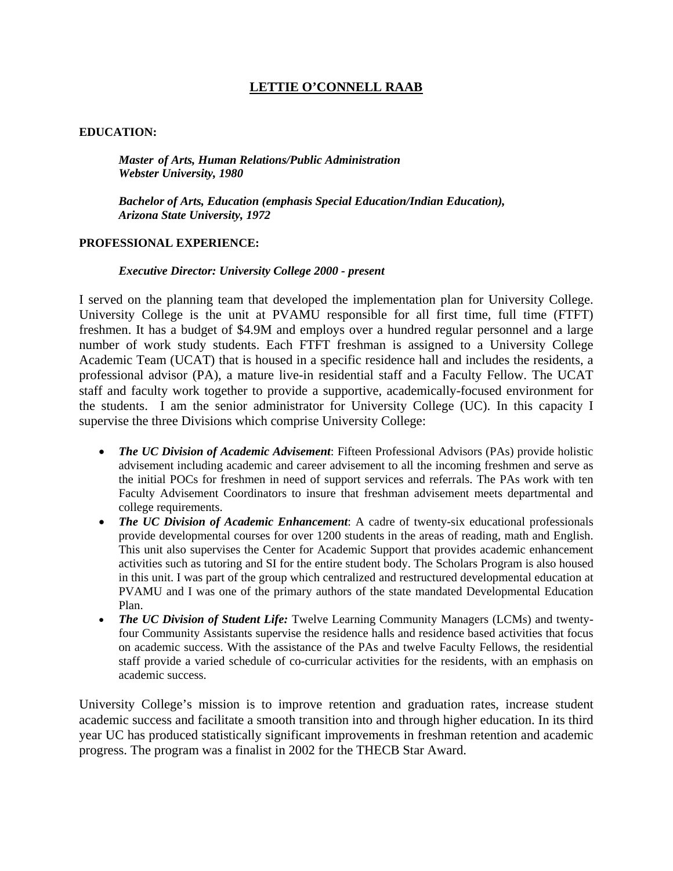# **LETTIE O'CONNELL RAAB**

## **EDUCATION:**

*Master of Arts, Human Relations/Public Administration Webster University, 1980* 

*Bachelor of Arts, Education (emphasis Special Education/Indian Education), Arizona State University, 1972* 

#### **PROFESSIONAL EXPERIENCE:**

### *Executive Director: University College 2000 - present*

I served on the planning team that developed the implementation plan for University College. University College is the unit at PVAMU responsible for all first time, full time (FTFT) freshmen. It has a budget of \$4.9M and employs over a hundred regular personnel and a large number of work study students. Each FTFT freshman is assigned to a University College Academic Team (UCAT) that is housed in a specific residence hall and includes the residents, a professional advisor (PA), a mature live-in residential staff and a Faculty Fellow. The UCAT staff and faculty work together to provide a supportive, academically-focused environment for the students. I am the senior administrator for University College (UC). In this capacity I supervise the three Divisions which comprise University College:

- *The UC Division of Academic Advisement*: Fifteen Professional Advisors (PAs) provide holistic advisement including academic and career advisement to all the incoming freshmen and serve as the initial POCs for freshmen in need of support services and referrals. The PAs work with ten Faculty Advisement Coordinators to insure that freshman advisement meets departmental and college requirements.
- *The UC Division of Academic Enhancement*: A cadre of twenty-six educational professionals provide developmental courses for over 1200 students in the areas of reading, math and English. This unit also supervises the Center for Academic Support that provides academic enhancement activities such as tutoring and SI for the entire student body. The Scholars Program is also housed in this unit. I was part of the group which centralized and restructured developmental education at PVAMU and I was one of the primary authors of the state mandated Developmental Education Plan.
- *The UC Division of Student Life:* Twelve Learning Community Managers (LCMs) and twentyfour Community Assistants supervise the residence halls and residence based activities that focus on academic success. With the assistance of the PAs and twelve Faculty Fellows, the residential staff provide a varied schedule of co-curricular activities for the residents, with an emphasis on academic success.

University College's mission is to improve retention and graduation rates, increase student academic success and facilitate a smooth transition into and through higher education. In its third year UC has produced statistically significant improvements in freshman retention and academic progress. The program was a finalist in 2002 for the THECB Star Award.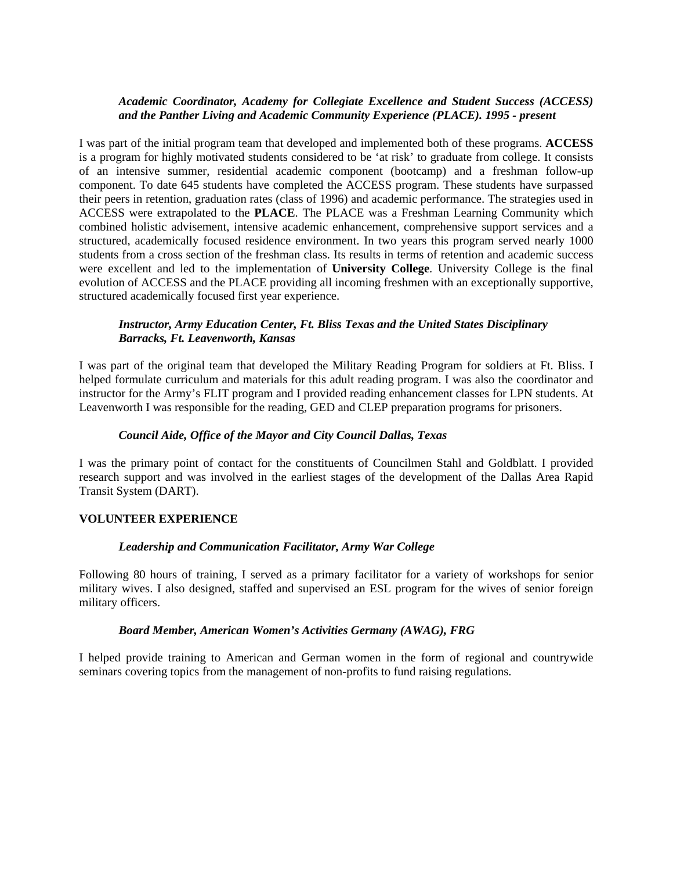## *Academic Coordinator, Academy for Collegiate Excellence and Student Success (ACCESS) and the Panther Living and Academic Community Experience (PLACE). 1995 - present*

I was part of the initial program team that developed and implemented both of these programs. **ACCESS** is a program for highly motivated students considered to be 'at risk' to graduate from college. It consists of an intensive summer, residential academic component (bootcamp) and a freshman follow-up component. To date 645 students have completed the ACCESS program. These students have surpassed their peers in retention, graduation rates (class of 1996) and academic performance. The strategies used in ACCESS were extrapolated to the **PLACE**. The PLACE was a Freshman Learning Community which combined holistic advisement, intensive academic enhancement, comprehensive support services and a structured, academically focused residence environment. In two years this program served nearly 1000 students from a cross section of the freshman class. Its results in terms of retention and academic success were excellent and led to the implementation of **University College**. University College is the final evolution of ACCESS and the PLACE providing all incoming freshmen with an exceptionally supportive, structured academically focused first year experience.

## *Instructor, Army Education Center, Ft. Bliss Texas and the United States Disciplinary Barracks, Ft. Leavenworth, Kansas*

I was part of the original team that developed the Military Reading Program for soldiers at Ft. Bliss. I helped formulate curriculum and materials for this adult reading program. I was also the coordinator and instructor for the Army's FLIT program and I provided reading enhancement classes for LPN students. At Leavenworth I was responsible for the reading, GED and CLEP preparation programs for prisoners.

### *Council Aide, Office of the Mayor and City Council Dallas, Texas*

I was the primary point of contact for the constituents of Councilmen Stahl and Goldblatt. I provided research support and was involved in the earliest stages of the development of the Dallas Area Rapid Transit System (DART).

#### **VOLUNTEER EXPERIENCE**

#### *Leadership and Communication Facilitator, Army War College*

Following 80 hours of training, I served as a primary facilitator for a variety of workshops for senior military wives. I also designed, staffed and supervised an ESL program for the wives of senior foreign military officers.

#### *Board Member, American Women's Activities Germany (AWAG), FRG*

I helped provide training to American and German women in the form of regional and countrywide seminars covering topics from the management of non-profits to fund raising regulations.